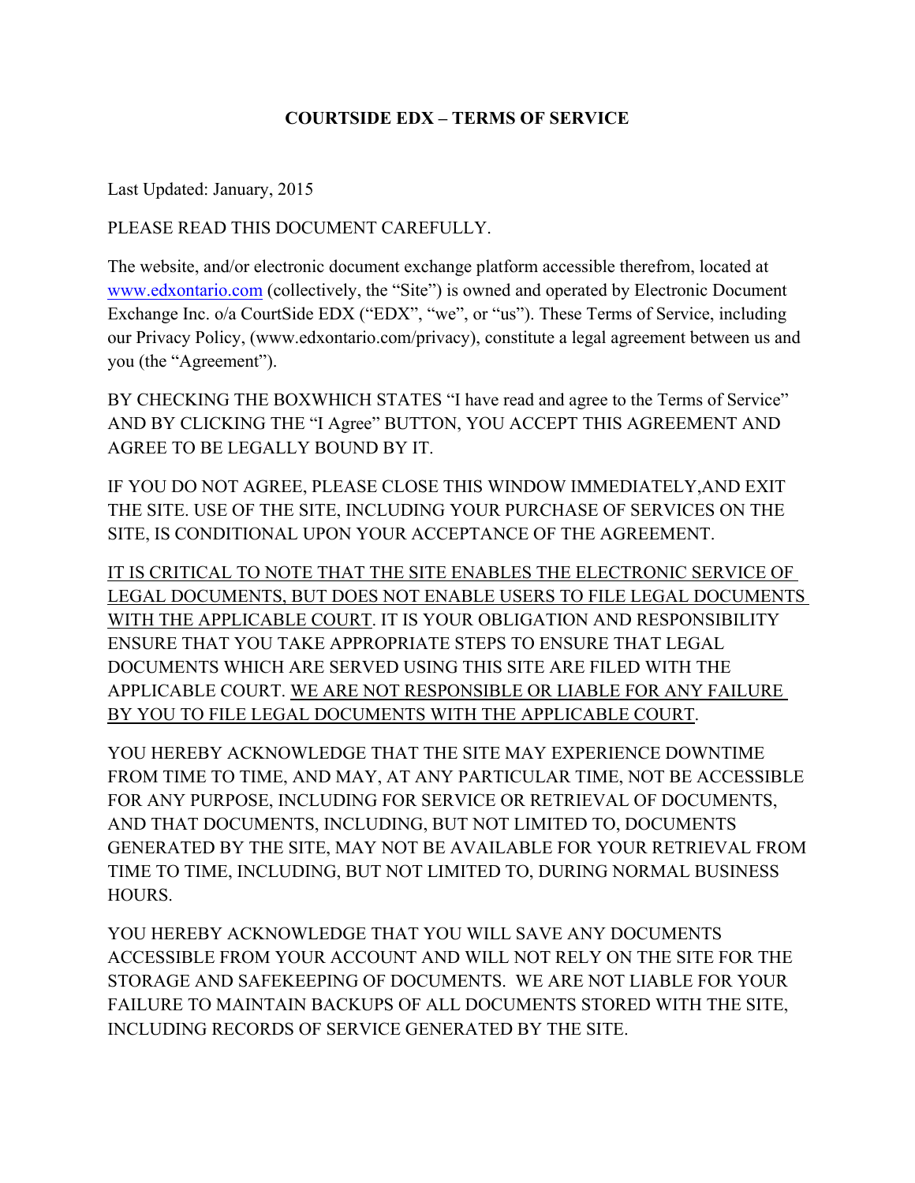#### **COURTSIDE EDX – TERMS OF SERVICE**

Last Updated: January, 2015

PLEASE READ THIS DOCUMENT CAREFULLY.

The website, and/or electronic document exchange platform accessible therefrom, located at www.edxontario.com (collectively, the "Site") is owned and operated by Electronic Document Exchange Inc. o/a CourtSide EDX ("EDX", "we", or "us"). These Terms of Service, including our Privacy Policy, (www.edxontario.com/privacy), constitute a legal agreement between us and you (the "Agreement").

BY CHECKING THE BOXWHICH STATES "I have read and agree to the Terms of Service" AND BY CLICKING THE "I Agree" BUTTON, YOU ACCEPT THIS AGREEMENT AND AGREE TO BE LEGALLY BOUND BY IT.

IF YOU DO NOT AGREE, PLEASE CLOSE THIS WINDOW IMMEDIATELY,AND EXIT THE SITE. USE OF THE SITE, INCLUDING YOUR PURCHASE OF SERVICES ON THE SITE, IS CONDITIONAL UPON YOUR ACCEPTANCE OF THE AGREEMENT.

IT IS CRITICAL TO NOTE THAT THE SITE ENABLES THE ELECTRONIC SERVICE OF LEGAL DOCUMENTS, BUT DOES NOT ENABLE USERS TO FILE LEGAL DOCUMENTS WITH THE APPLICABLE COURT. IT IS YOUR OBLIGATION AND RESPONSIBILITY ENSURE THAT YOU TAKE APPROPRIATE STEPS TO ENSURE THAT LEGAL DOCUMENTS WHICH ARE SERVED USING THIS SITE ARE FILED WITH THE APPLICABLE COURT. WE ARE NOT RESPONSIBLE OR LIABLE FOR ANY FAILURE BY YOU TO FILE LEGAL DOCUMENTS WITH THE APPLICABLE COURT.

YOU HEREBY ACKNOWLEDGE THAT THE SITE MAY EXPERIENCE DOWNTIME FROM TIME TO TIME, AND MAY, AT ANY PARTICULAR TIME, NOT BE ACCESSIBLE FOR ANY PURPOSE, INCLUDING FOR SERVICE OR RETRIEVAL OF DOCUMENTS, AND THAT DOCUMENTS, INCLUDING, BUT NOT LIMITED TO, DOCUMENTS GENERATED BY THE SITE, MAY NOT BE AVAILABLE FOR YOUR RETRIEVAL FROM TIME TO TIME, INCLUDING, BUT NOT LIMITED TO, DURING NORMAL BUSINESS HOURS.

YOU HEREBY ACKNOWLEDGE THAT YOU WILL SAVE ANY DOCUMENTS ACCESSIBLE FROM YOUR ACCOUNT AND WILL NOT RELY ON THE SITE FOR THE STORAGE AND SAFEKEEPING OF DOCUMENTS. WE ARE NOT LIABLE FOR YOUR FAILURE TO MAINTAIN BACKUPS OF ALL DOCUMENTS STORED WITH THE SITE, INCLUDING RECORDS OF SERVICE GENERATED BY THE SITE.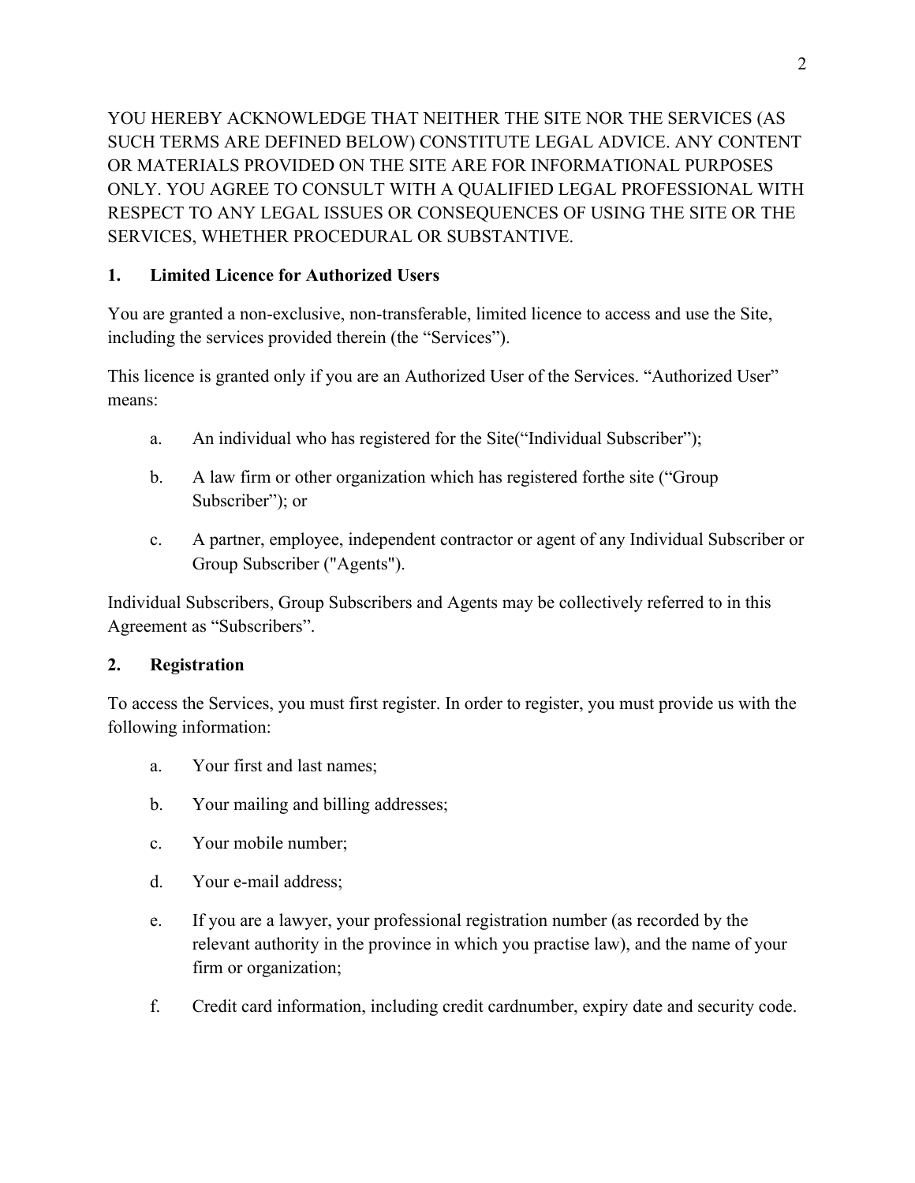YOU HEREBY ACKNOWLEDGE THAT NEITHER THE SITE NOR THE SERVICES (AS SUCH TERMS ARE DEFINED BELOW) CONSTITUTE LEGAL ADVICE. ANY CONTENT OR MATERIALS PROVIDED ON THE SITE ARE FOR INFORMATIONAL PURPOSES ONLY. YOU AGREE TO CONSULT WITH A QUALIFIED LEGAL PROFESSIONAL WITH RESPECT TO ANY LEGAL ISSUES OR CONSEQUENCES OF USING THE SITE OR THE SERVICES, WHETHER PROCEDURAL OR SUBSTANTIVE.

## **1. Limited Licence for Authorized Users**

You are granted a non-exclusive, non-transferable, limited licence to access and use the Site, including the services provided therein (the "Services").

This licence is granted only if you are an Authorized User of the Services. "Authorized User" means:

- a. An individual who has registered for the Site("Individual Subscriber");
- b. A law firm or other organization which has registered forthe site ("Group Subscriber"); or
- c. A partner, employee, independent contractor or agent of any Individual Subscriber or Group Subscriber ("Agents").

Individual Subscribers, Group Subscribers and Agents may be collectively referred to in this Agreement as "Subscribers".

## **2. Registration**

To access the Services, you must first register. In order to register, you must provide us with the following information:

- a. Your first and last names;
- b. Your mailing and billing addresses;
- c. Your mobile number;
- d. Your e-mail address;
- e. If you are a lawyer, your professional registration number (as recorded by the relevant authority in the province in which you practise law), and the name of your firm or organization;
- f. Credit card information, including credit cardnumber, expiry date and security code.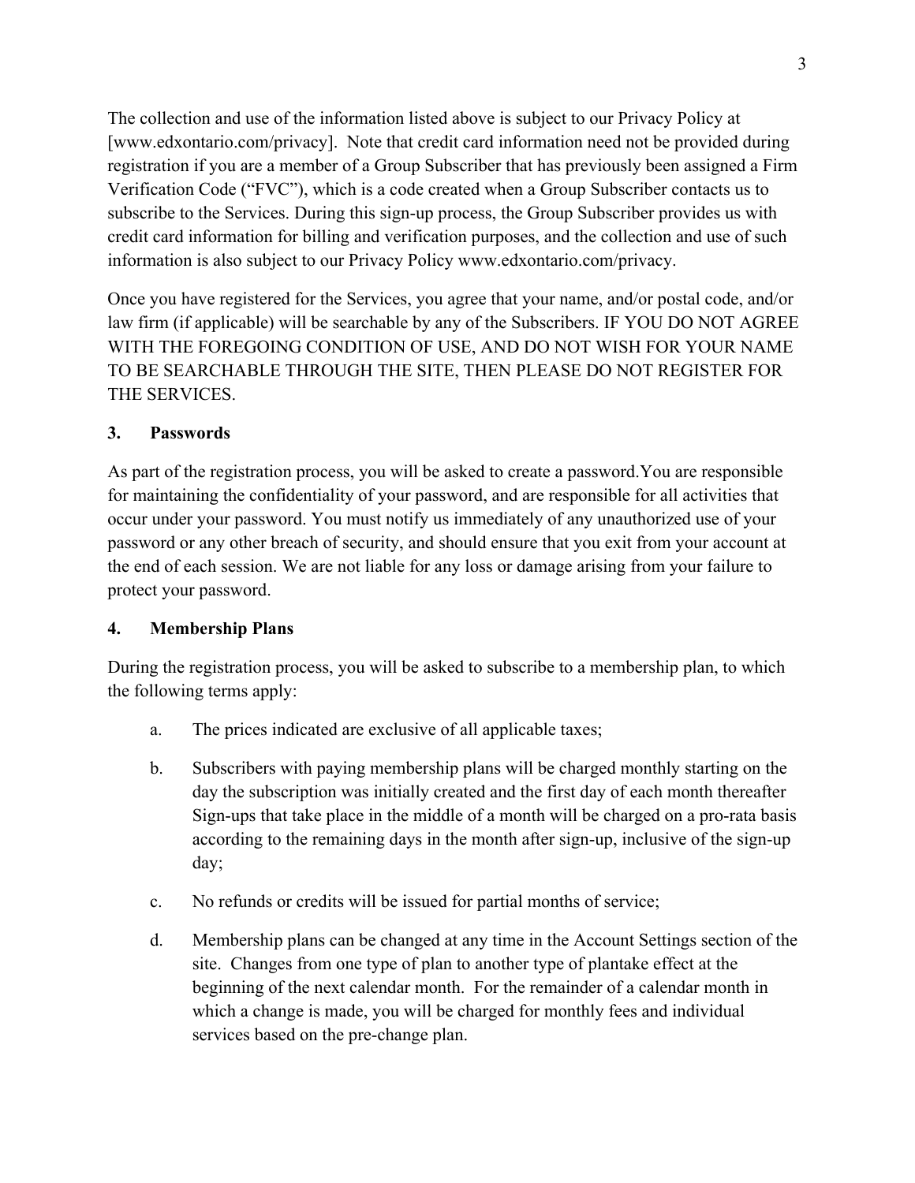The collection and use of the information listed above is subject to our Privacy Policy at [www.edxontario.com/privacy]. Note that credit card information need not be provided during registration if you are a member of a Group Subscriber that has previously been assigned a Firm Verification Code ("FVC"), which is a code created when a Group Subscriber contacts us to subscribe to the Services. During this sign-up process, the Group Subscriber provides us with credit card information for billing and verification purposes, and the collection and use of such information is also subject to our Privacy Policy www.edxontario.com/privacy.

Once you have registered for the Services, you agree that your name, and/or postal code, and/or law firm (if applicable) will be searchable by any of the Subscribers. IF YOU DO NOT AGREE WITH THE FOREGOING CONDITION OF USE, AND DO NOT WISH FOR YOUR NAME TO BE SEARCHABLE THROUGH THE SITE, THEN PLEASE DO NOT REGISTER FOR THE SERVICES.

#### **3. Passwords**

As part of the registration process, you will be asked to create a password.You are responsible for maintaining the confidentiality of your password, and are responsible for all activities that occur under your password. You must notify us immediately of any unauthorized use of your password or any other breach of security, and should ensure that you exit from your account at the end of each session. We are not liable for any loss or damage arising from your failure to protect your password.

#### **4. Membership Plans**

During the registration process, you will be asked to subscribe to a membership plan, to which the following terms apply:

- a. The prices indicated are exclusive of all applicable taxes;
- b. Subscribers with paying membership plans will be charged monthly starting on the day the subscription was initially created and the first day of each month thereafter Sign-ups that take place in the middle of a month will be charged on a pro-rata basis according to the remaining days in the month after sign-up, inclusive of the sign-up day;
- c. No refunds or credits will be issued for partial months of service;
- d. Membership plans can be changed at any time in the Account Settings section of the site. Changes from one type of plan to another type of plantake effect at the beginning of the next calendar month. For the remainder of a calendar month in which a change is made, you will be charged for monthly fees and individual services based on the pre-change plan.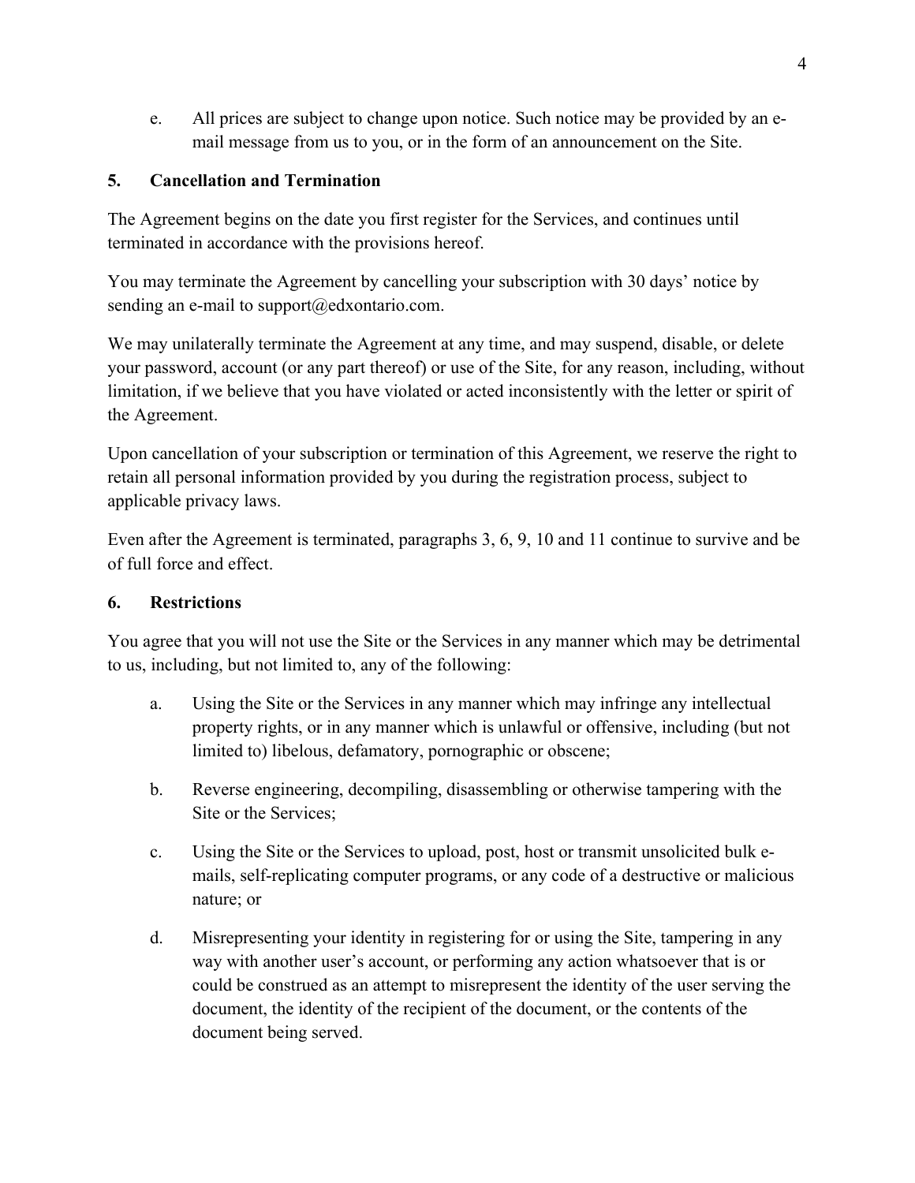e. All prices are subject to change upon notice. Such notice may be provided by an email message from us to you, or in the form of an announcement on the Site.

## **5. Cancellation and Termination**

The Agreement begins on the date you first register for the Services, and continues until terminated in accordance with the provisions hereof.

You may terminate the Agreement by cancelling your subscription with 30 days' notice by sending an e-mail to support $(\partial_t)$ edxontario.com.

We may unilaterally terminate the Agreement at any time, and may suspend, disable, or delete your password, account (or any part thereof) or use of the Site, for any reason, including, without limitation, if we believe that you have violated or acted inconsistently with the letter or spirit of the Agreement.

Upon cancellation of your subscription or termination of this Agreement, we reserve the right to retain all personal information provided by you during the registration process, subject to applicable privacy laws.

Even after the Agreement is terminated, paragraphs 3, 6, 9, 10 and 11 continue to survive and be of full force and effect.

#### **6. Restrictions**

You agree that you will not use the Site or the Services in any manner which may be detrimental to us, including, but not limited to, any of the following:

- a. Using the Site or the Services in any manner which may infringe any intellectual property rights, or in any manner which is unlawful or offensive, including (but not limited to) libelous, defamatory, pornographic or obscene;
- b. Reverse engineering, decompiling, disassembling or otherwise tampering with the Site or the Services;
- c. Using the Site or the Services to upload, post, host or transmit unsolicited bulk emails, self-replicating computer programs, or any code of a destructive or malicious nature; or
- d. Misrepresenting your identity in registering for or using the Site, tampering in any way with another user's account, or performing any action whatsoever that is or could be construed as an attempt to misrepresent the identity of the user serving the document, the identity of the recipient of the document, or the contents of the document being served.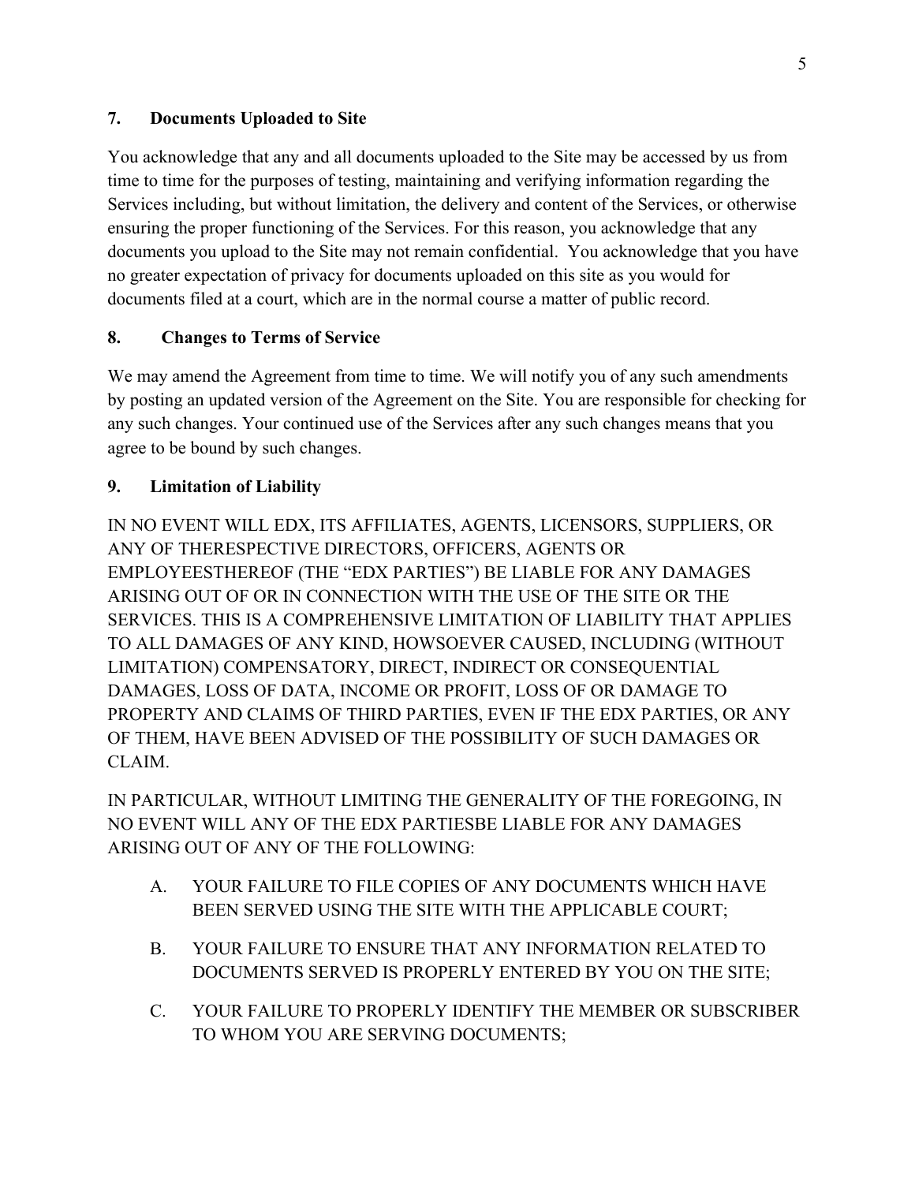### **7. Documents Uploaded to Site**

You acknowledge that any and all documents uploaded to the Site may be accessed by us from time to time for the purposes of testing, maintaining and verifying information regarding the Services including, but without limitation, the delivery and content of the Services, or otherwise ensuring the proper functioning of the Services. For this reason, you acknowledge that any documents you upload to the Site may not remain confidential. You acknowledge that you have no greater expectation of privacy for documents uploaded on this site as you would for documents filed at a court, which are in the normal course a matter of public record.

#### **8. Changes to Terms of Service**

We may amend the Agreement from time to time. We will notify you of any such amendments by posting an updated version of the Agreement on the Site. You are responsible for checking for any such changes. Your continued use of the Services after any such changes means that you agree to be bound by such changes.

#### **9. Limitation of Liability**

IN NO EVENT WILL EDX, ITS AFFILIATES, AGENTS, LICENSORS, SUPPLIERS, OR ANY OF THERESPECTIVE DIRECTORS, OFFICERS, AGENTS OR EMPLOYEESTHEREOF (THE "EDX PARTIES") BE LIABLE FOR ANY DAMAGES ARISING OUT OF OR IN CONNECTION WITH THE USE OF THE SITE OR THE SERVICES. THIS IS A COMPREHENSIVE LIMITATION OF LIABILITY THAT APPLIES TO ALL DAMAGES OF ANY KIND, HOWSOEVER CAUSED, INCLUDING (WITHOUT LIMITATION) COMPENSATORY, DIRECT, INDIRECT OR CONSEQUENTIAL DAMAGES, LOSS OF DATA, INCOME OR PROFIT, LOSS OF OR DAMAGE TO PROPERTY AND CLAIMS OF THIRD PARTIES, EVEN IF THE EDX PARTIES, OR ANY OF THEM, HAVE BEEN ADVISED OF THE POSSIBILITY OF SUCH DAMAGES OR CLAIM.

IN PARTICULAR, WITHOUT LIMITING THE GENERALITY OF THE FOREGOING, IN NO EVENT WILL ANY OF THE EDX PARTIESBE LIABLE FOR ANY DAMAGES ARISING OUT OF ANY OF THE FOLLOWING:

- A. YOUR FAILURE TO FILE COPIES OF ANY DOCUMENTS WHICH HAVE BEEN SERVED USING THE SITE WITH THE APPLICABLE COURT;
- B. YOUR FAILURE TO ENSURE THAT ANY INFORMATION RELATED TO DOCUMENTS SERVED IS PROPERLY ENTERED BY YOU ON THE SITE;
- C. YOUR FAILURE TO PROPERLY IDENTIFY THE MEMBER OR SUBSCRIBER TO WHOM YOU ARE SERVING DOCUMENTS;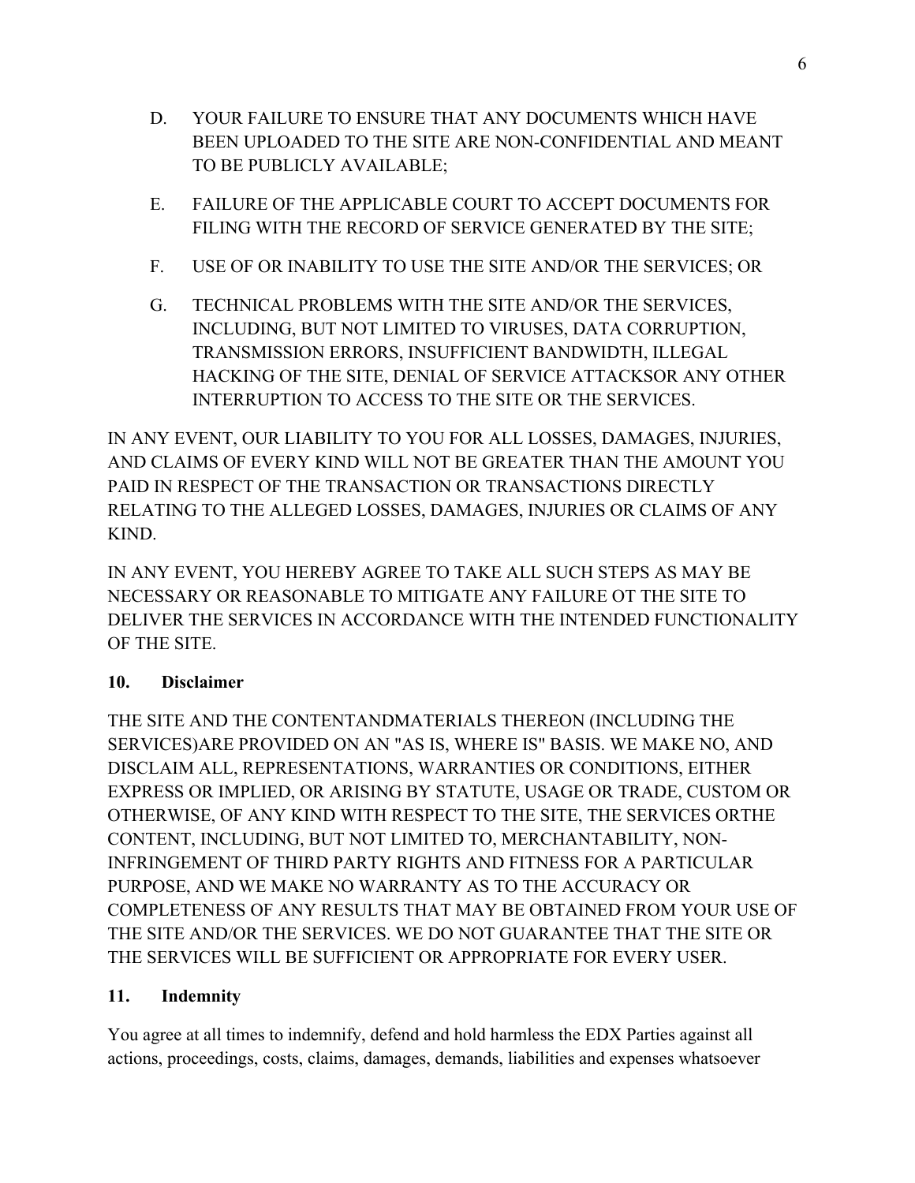- D. YOUR FAILURE TO ENSURE THAT ANY DOCUMENTS WHICH HAVE BEEN UPLOADED TO THE SITE ARE NON-CONFIDENTIAL AND MEANT TO BE PUBLICLY AVAILABLE;
- E. FAILURE OF THE APPLICABLE COURT TO ACCEPT DOCUMENTS FOR FILING WITH THE RECORD OF SERVICE GENERATED BY THE SITE;
- F. USE OF OR INABILITY TO USE THE SITE AND/OR THE SERVICES; OR
- G. TECHNICAL PROBLEMS WITH THE SITE AND/OR THE SERVICES, INCLUDING, BUT NOT LIMITED TO VIRUSES, DATA CORRUPTION, TRANSMISSION ERRORS, INSUFFICIENT BANDWIDTH, ILLEGAL HACKING OF THE SITE, DENIAL OF SERVICE ATTACKSOR ANY OTHER INTERRUPTION TO ACCESS TO THE SITE OR THE SERVICES.

IN ANY EVENT, OUR LIABILITY TO YOU FOR ALL LOSSES, DAMAGES, INJURIES, AND CLAIMS OF EVERY KIND WILL NOT BE GREATER THAN THE AMOUNT YOU PAID IN RESPECT OF THE TRANSACTION OR TRANSACTIONS DIRECTLY RELATING TO THE ALLEGED LOSSES, DAMAGES, INJURIES OR CLAIMS OF ANY KIND.

IN ANY EVENT, YOU HEREBY AGREE TO TAKE ALL SUCH STEPS AS MAY BE NECESSARY OR REASONABLE TO MITIGATE ANY FAILURE OT THE SITE TO DELIVER THE SERVICES IN ACCORDANCE WITH THE INTENDED FUNCTIONALITY OF THE SITE.

# **10. Disclaimer**

THE SITE AND THE CONTENTANDMATERIALS THEREON (INCLUDING THE SERVICES)ARE PROVIDED ON AN "AS IS, WHERE IS" BASIS. WE MAKE NO, AND DISCLAIM ALL, REPRESENTATIONS, WARRANTIES OR CONDITIONS, EITHER EXPRESS OR IMPLIED, OR ARISING BY STATUTE, USAGE OR TRADE, CUSTOM OR OTHERWISE, OF ANY KIND WITH RESPECT TO THE SITE, THE SERVICES ORTHE CONTENT, INCLUDING, BUT NOT LIMITED TO, MERCHANTABILITY, NON-INFRINGEMENT OF THIRD PARTY RIGHTS AND FITNESS FOR A PARTICULAR PURPOSE, AND WE MAKE NO WARRANTY AS TO THE ACCURACY OR COMPLETENESS OF ANY RESULTS THAT MAY BE OBTAINED FROM YOUR USE OF THE SITE AND/OR THE SERVICES. WE DO NOT GUARANTEE THAT THE SITE OR THE SERVICES WILL BE SUFFICIENT OR APPROPRIATE FOR EVERY USER.

# **11. Indemnity**

You agree at all times to indemnify, defend and hold harmless the EDX Parties against all actions, proceedings, costs, claims, damages, demands, liabilities and expenses whatsoever